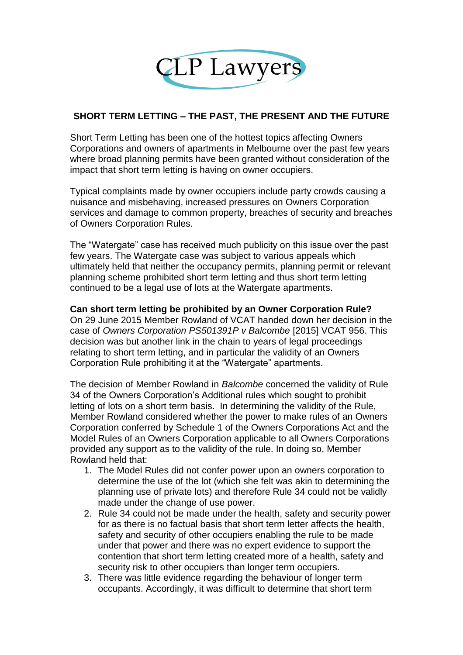

## **SHORT TERM LETTING – THE PAST, THE PRESENT AND THE FUTURE**

Short Term Letting has been one of the hottest topics affecting Owners Corporations and owners of apartments in Melbourne over the past few years where broad planning permits have been granted without consideration of the impact that short term letting is having on owner occupiers.

Typical complaints made by owner occupiers include party crowds causing a nuisance and misbehaving, increased pressures on Owners Corporation services and damage to common property, breaches of security and breaches of Owners Corporation Rules.

The "Watergate" case has received much publicity on this issue over the past few years. The Watergate case was subject to various appeals which ultimately held that neither the occupancy permits, planning permit or relevant planning scheme prohibited short term letting and thus short term letting continued to be a legal use of lots at the Watergate apartments.

**Can short term letting be prohibited by an Owner Corporation Rule?** On 29 June 2015 Member Rowland of VCAT handed down her decision in the case of *Owners Corporation PS501391P v Balcombe* [2015] VCAT 956. This decision was but another link in the chain to years of legal proceedings relating to short term letting, and in particular the validity of an Owners Corporation Rule prohibiting it at the "Watergate" apartments.

The decision of Member Rowland in *Balcombe* concerned the validity of Rule 34 of the Owners Corporation's Additional rules which sought to prohibit letting of lots on a short term basis. In determining the validity of the Rule, Member Rowland considered whether the power to make rules of an Owners Corporation conferred by Schedule 1 of the Owners Corporations Act and the Model Rules of an Owners Corporation applicable to all Owners Corporations provided any support as to the validity of the rule. In doing so, Member Rowland held that:

- 1. The Model Rules did not confer power upon an owners corporation to determine the use of the lot (which she felt was akin to determining the planning use of private lots) and therefore Rule 34 could not be validly made under the change of use power.
- 2. Rule 34 could not be made under the health, safety and security power for as there is no factual basis that short term letter affects the health, safety and security of other occupiers enabling the rule to be made under that power and there was no expert evidence to support the contention that short term letting created more of a health, safety and security risk to other occupiers than longer term occupiers.
- 3. There was little evidence regarding the behaviour of longer term occupants. Accordingly, it was difficult to determine that short term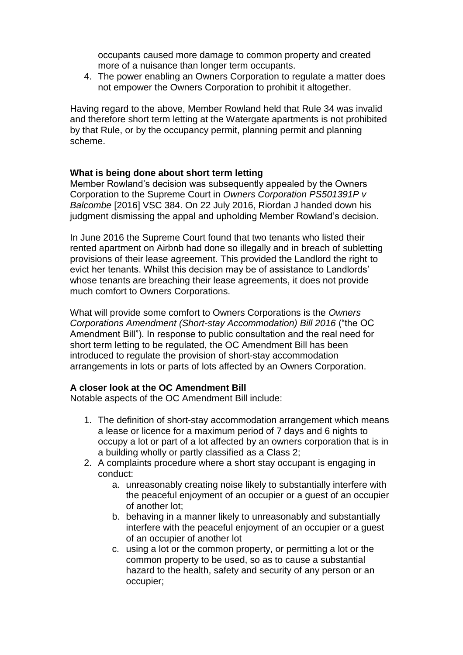occupants caused more damage to common property and created more of a nuisance than longer term occupants.

4. The power enabling an Owners Corporation to regulate a matter does not empower the Owners Corporation to prohibit it altogether.

Having regard to the above, Member Rowland held that Rule 34 was invalid and therefore short term letting at the Watergate apartments is not prohibited by that Rule, or by the occupancy permit, planning permit and planning scheme.

## **What is being done about short term letting**

Member Rowland's decision was subsequently appealed by the Owners Corporation to the Supreme Court in *Owners Corporation PS501391P v Balcombe* [2016] VSC 384. On 22 July 2016, Riordan J handed down his judgment dismissing the appal and upholding Member Rowland's decision.

In June 2016 the Supreme Court found that two tenants who listed their rented apartment on Airbnb had done so illegally and in breach of subletting provisions of their lease agreement. This provided the Landlord the right to evict her tenants. Whilst this decision may be of assistance to Landlords' whose tenants are breaching their lease agreements, it does not provide much comfort to Owners Corporations.

What will provide some comfort to Owners Corporations is the *Owners Corporations Amendment (Short-stay Accommodation) Bill 2016* ("the OC Amendment Bill"). In response to public consultation and the real need for short term letting to be regulated, the OC Amendment Bill has been introduced to regulate the provision of short-stay accommodation arrangements in lots or parts of lots affected by an Owners Corporation.

## **A closer look at the OC Amendment Bill**

Notable aspects of the OC Amendment Bill include:

- 1. The definition of short-stay accommodation arrangement which means a lease or licence for a maximum period of 7 days and 6 nights to occupy a lot or part of a lot affected by an owners corporation that is in a building wholly or partly classified as a Class 2;
- 2. A complaints procedure where a short stay occupant is engaging in conduct:
	- a. unreasonably creating noise likely to substantially interfere with the peaceful enjoyment of an occupier or a guest of an occupier of another lot;
	- b. behaving in a manner likely to unreasonably and substantially interfere with the peaceful enjoyment of an occupier or a guest of an occupier of another lot
	- c. using a lot or the common property, or permitting a lot or the common property to be used, so as to cause a substantial hazard to the health, safety and security of any person or an occupier;